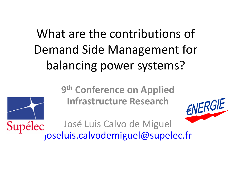What are the contributions of Demand Side Management for balancing power systems?

> **9th Conference on Applied Infrastructure Research**







Supélec Jose Luis Calvo de Miguel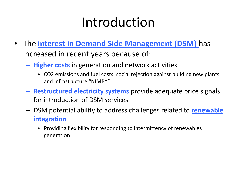# Introduction

- The **interest in Demand Side Management (DSM)** has increased in recent years because of:
	- **Higher costs** in generation and network activities
		- CO2 emissions and fuel costs, social rejection against building new plants and infrastructure "NIMBY"
	- **Restructured electricity systems** provide adequate price signals for introduction of DSM services
	- DSM potential ability to address challenges related to **renewable integration**
		- Providing flexibility for responding to intermittency of renewables generation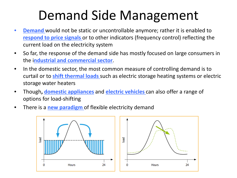# Demand Side Management

- **Demand** would not be static or uncontrollable anymore; rather it is enabled to **respond to price signals** or to other indicators (frequency control) reflecting the current load on the electricity system
- So far, the response of the demand side has mostly focused on large consumers in the i**ndustrial and commercial sector**.
- In the domestic sector, the most common measure of controlling demand is to curtail or to **shift thermal loads** such as electric storage heating systems or electric storage water heaters
- Though**, domestic appliances** and **electric vehicles** can also offer a range of options for load-shifting
- There is a **new paradigm** of flexible electricity demand

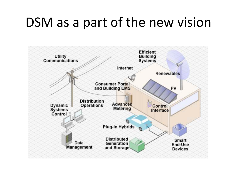#### DSM as a part of the new vision

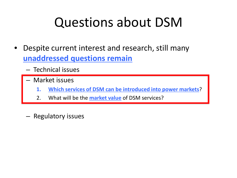## Questions about DSM

- Despite current interest and research, still many **unaddressed questions remain**
	- Technical issues
	- Market issues
		- **1. Which services of DSM can be introduced into power markets**?
		- 2. What will be the **market value** of DSM services?
	- Regulatory issues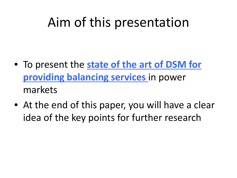## Aim of this presentation

- To present the **state of the art of DSM for providing balancing services** in power markets
- At the end of this paper, you will have a clear idea of the key points for further research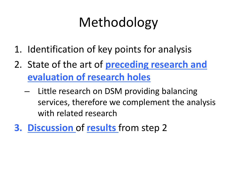# Methodology

- 1. Identification of key points for analysis
- 2. State of the art of **preceding research and evaluation of research holes**
	- Little research on DSM providing balancing services, therefore we complement the analysis with related research
- **3. Discussion** of **results** from step 2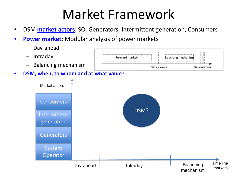# Market Framework

- DSM **market actors:** SO, Generators, Intermittent generation, Consumers
- **Power market:** Modular analysis of power markets

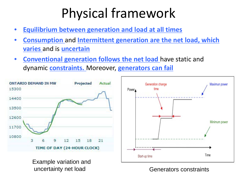# Physical framework

- **Equilibrium between generation and load at all times**
- **Consumption** and **Intermittent generation are the net load, which varies** and is **uncertain**
- **Conventional generation follows the net load** have static and dynamic **constraints.** Moreover, **generators can fail**



Generators constraints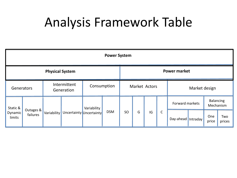### Analysis Framework Table

| <b>Power System</b>           |                       |                            |                         |             |            |                     |   |    |              |                    |  |                               |               |  |
|-------------------------------|-----------------------|----------------------------|-------------------------|-------------|------------|---------------------|---|----|--------------|--------------------|--|-------------------------------|---------------|--|
| <b>Physical System</b>        |                       |                            |                         |             |            | <b>Power market</b> |   |    |              |                    |  |                               |               |  |
| Generators                    |                       | Intermittent<br>Generation |                         | Consumption |            | Market Actors       |   |    |              | Market design      |  |                               |               |  |
| Static &<br>Dynamic<br>limits | Outages &<br>failures | Variability                | Uncertainty Uncertainty | Variability | <b>DSM</b> | SO                  | G | IG | $\mathsf{C}$ | Forward markets    |  | <b>Balancing</b><br>Mechanism |               |  |
|                               |                       |                            |                         |             |            |                     |   |    |              | Day-ahead Intraday |  | One<br>price                  | Two<br>prices |  |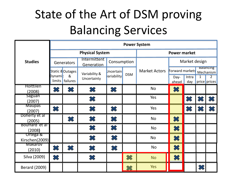### State of the Art of DSM proving Balancing Services

|                            | <b>Power System</b> |                       |                              |                                 |                     |                      |                                                                         |              |                |              |  |
|----------------------------|---------------------|-----------------------|------------------------------|---------------------------------|---------------------|----------------------|-------------------------------------------------------------------------|--------------|----------------|--------------|--|
|                            |                     |                       | <b>Physical System</b>       |                                 | <b>Power market</b> |                      |                                                                         |              |                |              |  |
| <b>Studies</b>             | Generators          |                       | Intermittent<br>Generation   | Consumption                     |                     |                      | Market design                                                           |              |                |              |  |
|                            | Dynami <b>t</b>     | Static 8 Outages<br>& | Variability &<br>Uncertainty | <b>Jncertain</b><br>variability | <b>DSM</b>          | <b>Market Actors</b> | <b>Baiancing</b><br>Forward markets<br>Mechanism<br>$\overline{2}$<br>1 |              |                |              |  |
|                            |                     | limits failures       |                              |                                 |                     |                      | Day-<br>ahead                                                           | Intra<br>day |                | price prices |  |
| Holttilen<br>(2008)        | X                   | X                     | $\boldsymbol{\Sigma}$        | $\gg$                           |                     | <b>No</b>            | <mark>※</mark>                                                          |              |                |              |  |
| Saguan<br>(2007)           |                     |                       | X                            |                                 |                     | Yes                  |                                                                         | X            |                | $\mathbb{Z}$ |  |
| <b>Maupas</b><br>(2007)    | X                   |                       | <del>签</del>                 | $\approx$                       |                     | Yes                  |                                                                         | X            |                |              |  |
| Doherty et al<br>(2005)    |                     | $\chi$                | X                            | ╳                               |                     | <b>No</b>            | $\infty$                                                                |              |                |              |  |
| Bouttard et al<br>(2008)   |                     |                       | X                            | $\chi$                          |                     | <b>No</b>            | ✖                                                                       |              |                |              |  |
| Ortega &<br>Kirschen(2009) |                     |                       | ╳                            | $\infty$                        |                     | No                   | $\infty$                                                                |              |                |              |  |
| Makarov<br>(2010)          | X                   | X                     | $\infty$                     | X                               |                     | <b>No</b>            | $\chi$                                                                  |              |                |              |  |
| Silva (2009)               | $\infty$            |                       | ╳                            |                                 | $\chi$              | <b>No</b>            | $\pmb{\mathcal{X}}$                                                     |              |                |              |  |
| <b>Berard (2009)</b>       |                     |                       |                              |                                 |                     | <b>Yes</b>           |                                                                         |              | <mark>҈</mark> |              |  |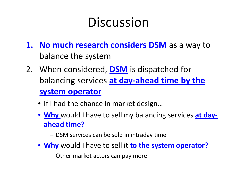# Discussion

- **1. No much research considers DSM** as a way to balance the system
- 2. When considered, **DSM** is dispatched for balancing services **at day-ahead time by the system operator**
	- If I had the chance in market design...
	- **Why** would I have to sell my balancing services **at dayahead time?**
		- DSM services can be sold in intraday time
	- **Why** would I have to sell it **to the system operator?**
		- Other market actors can pay more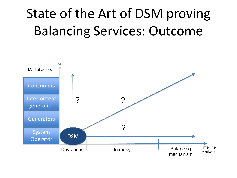# State of the Art of DSM proving Balancing Services: Outcome

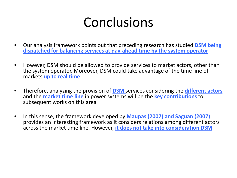### Conclusions

- Our analysis framework points out that preceding research has studied **DSM being dispatched for balancing services at day-ahead time by the system operator**
- However, DSM should be allowed to provide services to market actors, other than the system operator. Moreover, DSM could take advantage of the time line of markets **up to real time**
- Therefore, analyzing the provision of **DSM** services considering the **different actors** and the **market time line** in power systems will be the **key contributions**to subsequent works on this area
- In this sense, the framework developed by **Maupas (2007) and Saguan (2007)** provides an interesting framework as it considers relations among different actors across the market time line. However, **it does not take into consideration DSM**